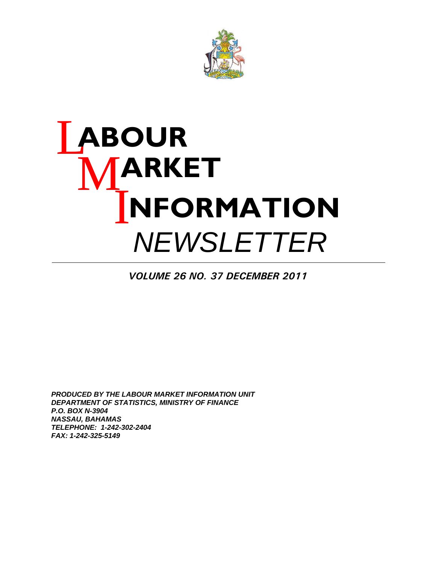

# L **ABOUR**  M **ARKET I NFORMATION**  *NEWSLETTER*

*VOLUME 26 NO. 37 DECEMBER 2011*

*PRODUCED BY THE LABOUR MARKET INFORMATION UNIT DEPARTMENT OF STATISTICS, MINISTRY OF FINANCE P.O. BOX N-3904 NASSAU, BAHAMAS TELEPHONE: 1-242-302-2404 FAX: 1-242-325-5149*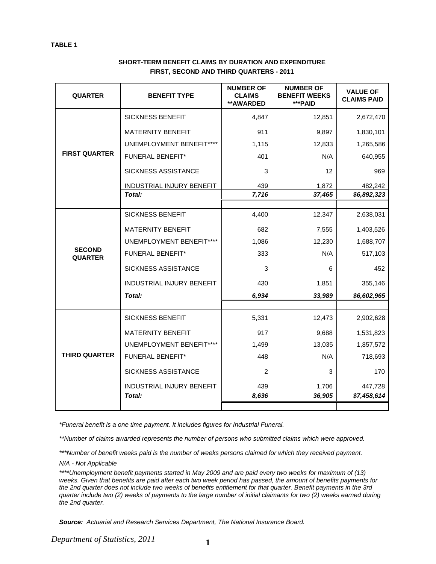| <b>QUARTER</b>                  | <b>BENEFIT TYPE</b>        | <b>NUMBER OF</b><br><b>CLAIMS</b><br>** AWARDED | <b>NUMBER OF</b><br><b>BENEFIT WEEKS</b><br>***PAID | <b>VALUE OF</b><br><b>CLAIMS PAID</b> |
|---------------------------------|----------------------------|-------------------------------------------------|-----------------------------------------------------|---------------------------------------|
|                                 | <b>SICKNESS BENEFIT</b>    | 4,847                                           | 12,851                                              | 2,672,470                             |
|                                 | <b>MATERNITY BENEFIT</b>   | 911                                             | 9,897                                               | 1,830,101                             |
|                                 | UNEMPLOYMENT BENEFIT****   | 1,115                                           | 12,833                                              | 1,265,586                             |
| <b>FIRST QUARTER</b>            | <b>FUNERAL BENEFIT*</b>    | 401                                             | N/A                                                 | 640,955                               |
|                                 | <b>SICKNESS ASSISTANCE</b> | 3                                               | 12                                                  | 969                                   |
|                                 | INDUSTRIAL INJURY BENEFIT  | 439                                             | 1,872                                               | 482,242                               |
|                                 | Total:                     | 7,716                                           | 37,465                                              | \$6,892,323                           |
|                                 |                            |                                                 |                                                     |                                       |
|                                 | <b>SICKNESS BENEFIT</b>    | 4,400                                           | 12,347                                              | 2,638,031                             |
|                                 | <b>MATERNITY BENEFIT</b>   | 682                                             | 7,555                                               | 1,403,526                             |
|                                 | UNEMPLOYMENT BENEFIT****   | 1,086                                           | 12,230                                              | 1,688,707                             |
| <b>SECOND</b><br><b>QUARTER</b> | <b>FUNERAL BENEFIT*</b>    | 333                                             | N/A                                                 | 517,103                               |
|                                 | <b>SICKNESS ASSISTANCE</b> | 3                                               | 6                                                   | 452                                   |
|                                 | INDUSTRIAL INJURY BENEFIT  | 430                                             | 1,851                                               | 355,146                               |
|                                 | Total:                     | 6,934                                           | 33,989                                              | \$6,602,965                           |
|                                 |                            |                                                 |                                                     |                                       |
|                                 | <b>SICKNESS BENEFIT</b>    | 5,331                                           | 12,473                                              | 2,902,628                             |
|                                 | <b>MATERNITY BENEFIT</b>   | 917                                             | 9,688                                               | 1,531,823                             |
|                                 | UNEMPLOYMENT BENEFIT****   | 1,499                                           | 13,035                                              | 1,857,572                             |
| <b>THIRD QUARTER</b>            | <b>FUNERAL BENEFIT*</b>    | 448                                             | N/A                                                 | 718,693                               |
|                                 | SICKNESS ASSISTANCE        | 2                                               | 3                                                   | 170                                   |
|                                 | INDUSTRIAL INJURY BENEFIT  | 439                                             | 1,706                                               | 447,728                               |
|                                 | Total:                     | 8,636                                           | 36,905                                              | \$7,458,614                           |
|                                 |                            |                                                 |                                                     |                                       |

#### **SHORT-TERM BENEFIT CLAIMS BY DURATION AND EXPENDITURE FIRST, SECOND AND THIRD QUARTERS - 2011**

*\*Funeral benefit is a one time payment. It includes figures for Industrial Funeral.* 

*\*\*Number of claims awarded represents the number of persons who submitted claims which were approved.* 

*\*\*\*Number of benefit weeks paid is the number of weeks persons claimed for which they received payment.* 

*N/A - Not Applicable* 

*\*\*\*\*Unemployment benefit payments started in May 2009 and are paid every two weeks for maximum of (13) weeks. Given that benefits are paid after each two week period has passed, the amount of benefits payments for the 2nd quarter does not include two weeks of benefits entitlement for that quarter. Benefit payments in the 3rd quarter include two (2) weeks of payments to the large number of initial claimants for two (2) weeks earned during the 2nd quarter.* 

*Source: Actuarial and Research Services Department, The National Insurance Board.*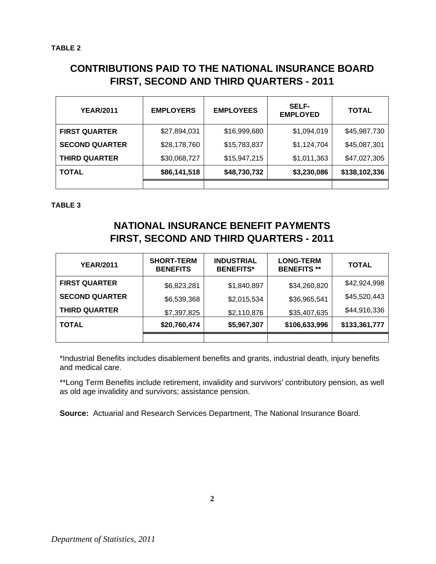## **CONTRIBUTIONS PAID TO THE NATIONAL INSURANCE BOARD FIRST, SECOND AND THIRD QUARTERS - 2011**

| <b>YEAR/2011</b>      | <b>EMPLOYERS</b> | <b>EMPLOYEES</b> | <b>SELF-</b><br><b>EMPLOYED</b> | <b>TOTAL</b>  |
|-----------------------|------------------|------------------|---------------------------------|---------------|
| <b>FIRST QUARTER</b>  | \$27,894,031     | \$16,999,680     | \$1,094,019                     | \$45,987,730  |
| <b>SECOND QUARTER</b> | \$28,178,760     | \$15,783,837     | \$1,124,704                     | \$45,087,301  |
| <b>THIRD QUARTER</b>  | \$30,068,727     | \$15,947,215     | \$1,011,363                     | \$47,027,305  |
| <b>TOTAL</b>          | \$86,141,518     | \$48,730,732     | \$3,230,086                     | \$138,102,336 |
|                       |                  |                  |                                 |               |

**TABLE 3**

## **NATIONAL INSURANCE BENEFIT PAYMENTS FIRST, SECOND AND THIRD QUARTERS - 2011**

| <b>YEAR/2011</b>      | <b>SHORT-TERM</b><br><b>BENEFITS</b> | <b>INDUSTRIAL</b><br><b>BENEFITS*</b> | <b>LONG-TERM</b><br><b>BENEFITS**</b> | <b>TOTAL</b>  |
|-----------------------|--------------------------------------|---------------------------------------|---------------------------------------|---------------|
| <b>FIRST QUARTER</b>  | \$6,823,281                          | \$1,840,897                           | \$34,260,820                          | \$42,924,998  |
| <b>SECOND QUARTER</b> | \$6,539,368                          | \$2,015,534                           | \$36,965,541                          | \$45,520,443  |
| <b>THIRD QUARTER</b>  | \$7,397,825                          | \$2,110,876                           | \$35,407,635                          | \$44,916,336  |
| <b>TOTAL</b>          | \$20,760,474                         | \$5,967,307                           | \$106,633,996                         | \$133,361,777 |
|                       |                                      |                                       |                                       |               |

\*Industrial Benefits includes disablement benefits and grants, industrial death, injury benefits and medical care.

\*\*Long Term Benefits include retirement, invalidity and survivors' contributory pension, as well as old age invalidity and survivors; assistance pension.

**Source:** Actuarial and Research Services Department, The National Insurance Board.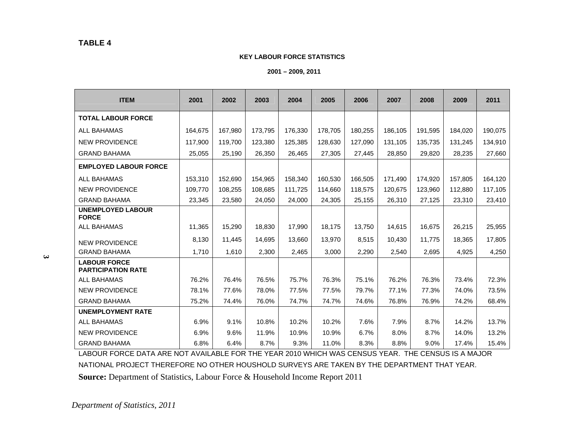#### **KEY LABOUR FORCE STATISTICS**

 **2001 – 2009, 2011** 

| <b>ITEM</b>                                      | 2001    | 2002    | 2003    | 2004    | 2005    | 2006    | 2007    | 2008    | 2009    | 2011    |
|--------------------------------------------------|---------|---------|---------|---------|---------|---------|---------|---------|---------|---------|
| <b>TOTAL LABOUR FORCE</b>                        |         |         |         |         |         |         |         |         |         |         |
| <b>ALL BAHAMAS</b>                               | 164,675 | 167,980 | 173,795 | 176,330 | 178,705 | 180,255 | 186,105 | 191,595 | 184,020 | 190,075 |
| <b>NEW PROVIDENCE</b>                            | 117,900 | 119,700 | 123,380 | 125,385 | 128,630 | 127,090 | 131,105 | 135,735 | 131,245 | 134,910 |
| <b>GRAND BAHAMA</b>                              | 25,055  | 25,190  | 26,350  | 26,465  | 27,305  | 27,445  | 28,850  | 29,820  | 28,235  | 27,660  |
| <b>EMPLOYED LABOUR FORCE</b>                     |         |         |         |         |         |         |         |         |         |         |
| <b>ALL BAHAMAS</b>                               | 153,310 | 152,690 | 154,965 | 158,340 | 160,530 | 166,505 | 171,490 | 174,920 | 157,805 | 164,120 |
| <b>NEW PROVIDENCE</b>                            | 109,770 | 108,255 | 108,685 | 111,725 | 114,660 | 118,575 | 120,675 | 123,960 | 112,880 | 117,105 |
| <b>GRAND BAHAMA</b>                              | 23,345  | 23,580  | 24,050  | 24,000  | 24,305  | 25,155  | 26,310  | 27,125  | 23,310  | 23,410  |
| <b>UNEMPLOYED LABOUR</b><br><b>FORCE</b>         |         |         |         |         |         |         |         |         |         |         |
| <b>ALL BAHAMAS</b>                               | 11,365  | 15,290  | 18,830  | 17,990  | 18,175  | 13,750  | 14,615  | 16,675  | 26,215  | 25,955  |
| <b>NEW PROVIDENCE</b>                            | 8,130   | 11,445  | 14,695  | 13,660  | 13,970  | 8,515   | 10,430  | 11.775  | 18,365  | 17,805  |
| <b>GRAND BAHAMA</b>                              | 1,710   | 1,610   | 2,300   | 2,465   | 3,000   | 2,290   | 2,540   | 2,695   | 4,925   | 4,250   |
| <b>LABOUR FORCE</b><br><b>PARTICIPATION RATE</b> |         |         |         |         |         |         |         |         |         |         |
| ALL BAHAMAS                                      | 76.2%   | 76.4%   | 76.5%   | 75.7%   | 76.3%   | 75.1%   | 76.2%   | 76.3%   | 73.4%   | 72.3%   |
| <b>NEW PROVIDENCE</b>                            | 78.1%   | 77.6%   | 78.0%   | 77.5%   | 77.5%   | 79.7%   | 77.1%   | 77.3%   | 74.0%   | 73.5%   |
| <b>GRAND BAHAMA</b>                              | 75.2%   | 74.4%   | 76.0%   | 74.7%   | 74.7%   | 74.6%   | 76.8%   | 76.9%   | 74.2%   | 68.4%   |
| <b>UNEMPLOYMENT RATE</b>                         |         |         |         |         |         |         |         |         |         |         |
| ALL BAHAMAS                                      | 6.9%    | 9.1%    | 10.8%   | 10.2%   | 10.2%   | 7.6%    | 7.9%    | 8.7%    | 14.2%   | 13.7%   |
| <b>NEW PROVIDENCE</b>                            | 6.9%    | 9.6%    | 11.9%   | 10.9%   | 10.9%   | 6.7%    | 8.0%    | 8.7%    | 14.0%   | 13.2%   |
| <b>GRAND BAHAMA</b>                              | 6.8%    | 6.4%    | 8.7%    | 9.3%    | 11.0%   | 8.3%    | 8.8%    | 9.0%    | 17.4%   | 15.4%   |

LABOUR FORCE DATA ARE NOT AVAILABLE FOR THE YEAR 2010 WHICH WAS CENSUS YEAR. THE CENSUS IS A MAJOR NATIONAL PROJECT THEREFORE NO OTHER HOUSHOLD SURVEYS ARE TAKEN BY THE DEPARTMENT THAT YEAR.

**Source:** Department of Statistics, Labour Force & Household Income Report 2011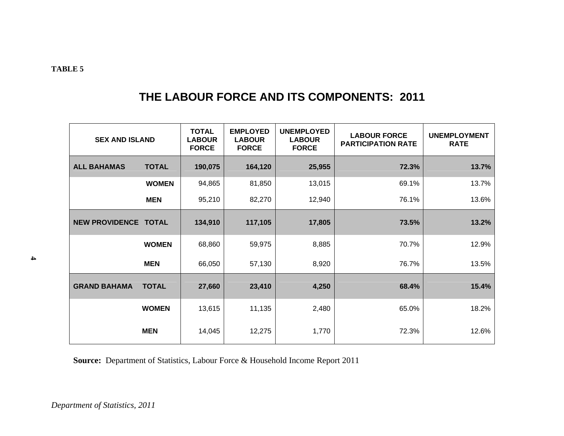## **THE LABOUR FORCE AND ITS COMPONENTS: 2011**

| <b>SEX AND ISLAND</b>              |              | <b>TOTAL</b><br><b>LABOUR</b><br><b>FORCE</b> | <b>EMPLOYED</b><br><b>LABOUR</b><br><b>FORCE</b> | <b>UNEMPLOYED</b><br><b>LABOUR</b><br><b>FORCE</b> | <b>LABOUR FORCE</b><br><b>PARTICIPATION RATE</b> | <b>UNEMPLOYMENT</b><br><b>RATE</b> |
|------------------------------------|--------------|-----------------------------------------------|--------------------------------------------------|----------------------------------------------------|--------------------------------------------------|------------------------------------|
| <b>ALL BAHAMAS</b><br><b>TOTAL</b> |              | 190,075                                       | 164,120                                          | 25,955                                             | 72.3%                                            | 13.7%                              |
|                                    | <b>WOMEN</b> | 94,865                                        | 81,850                                           | 13,015                                             | 69.1%                                            | 13.7%                              |
|                                    | <b>MEN</b>   | 95,210                                        | 82,270                                           | 12,940                                             | 76.1%                                            | 13.6%                              |
| NEW PROVIDENCE TOTAL               |              | 134,910                                       | 117,105                                          | 17,805                                             | 73.5%                                            | 13.2%                              |
|                                    | <b>WOMEN</b> | 68,860                                        | 59,975                                           | 8,885                                              | 70.7%                                            | 12.9%                              |
|                                    | <b>MEN</b>   | 66,050                                        | 57,130                                           | 8,920                                              | 76.7%                                            | 13.5%                              |
| <b>GRAND BAHAMA</b>                | <b>TOTAL</b> | 27,660                                        | 23,410                                           | 4,250                                              | 68.4%                                            | 15.4%                              |
|                                    | <b>WOMEN</b> | 13,615                                        | 11,135                                           | 2,480                                              | 65.0%                                            | 18.2%                              |
|                                    | <b>MEN</b>   | 14,045                                        | 12,275                                           | 1,770                                              | 72.3%                                            | 12.6%                              |

**Source:** Department of Statistics, Labour Force & Household Income Report 2011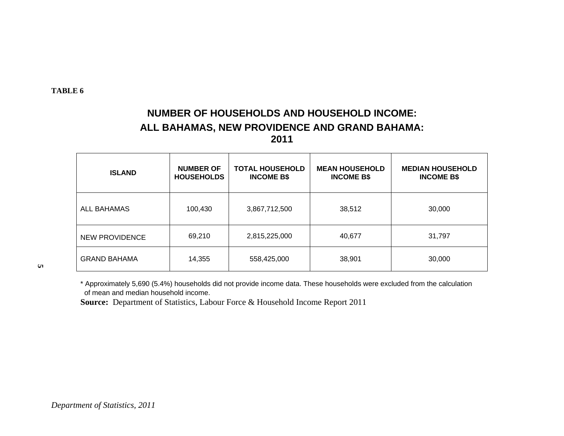## **NUMBER OF HOUSEHOLDS AND HOUSEHOLD INCOME: ALL BAHAMAS, NEW PROVIDENCE AND GRAND BAHAMA: 2011**

| <b>ISLAND</b>       | <b>NUMBER OF</b><br><b>HOUSEHOLDS</b> | <b>TOTAL HOUSEHOLD</b><br><b>INCOME B\$</b> | <b>MEAN HOUSEHOLD</b><br><b>INCOME B\$</b> | <b>MEDIAN HOUSEHOLD</b><br><b>INCOME B\$</b> |
|---------------------|---------------------------------------|---------------------------------------------|--------------------------------------------|----------------------------------------------|
| ALL BAHAMAS         | 100,430                               | 3,867,712,500                               | 38,512                                     | 30,000                                       |
| NEW PROVIDENCE      | 69,210                                | 2,815,225,000                               | 40,677                                     | 31,797                                       |
| <b>GRAND BAHAMA</b> | 14,355                                | 558,425,000                                 | 38,901                                     | 30,000                                       |

**5** 

\* Approximately 5,690 (5.4%) households did not provide income data. These households were excluded from the calculation of mean and median household income.

**Source:** Department of Statistics, Labour Force & Household Income Report 2011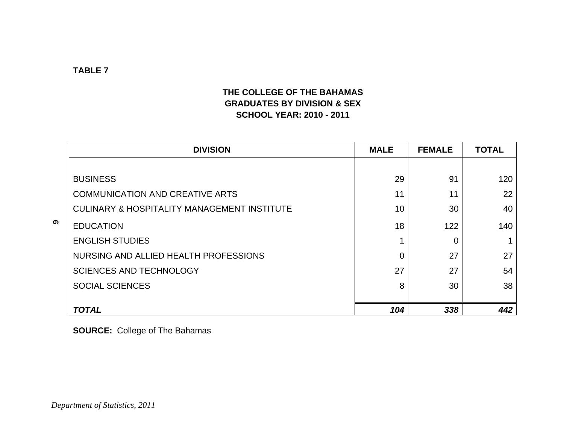## **THE COLLEGE OF THE BAHAMAS GRADUATES BY DIVISION & SEX SCHOOL YEAR: 2010 - 2011**

|   | <b>DIVISION</b>                                        | <b>MALE</b>    | <b>FEMALE</b> | <b>TOTAL</b> |
|---|--------------------------------------------------------|----------------|---------------|--------------|
|   |                                                        |                |               |              |
|   | <b>BUSINESS</b>                                        | 29             | 91            | 120          |
|   | <b>COMMUNICATION AND CREATIVE ARTS</b>                 | 11             | 11            | 22           |
|   | <b>CULINARY &amp; HOSPITALITY MANAGEMENT INSTITUTE</b> | 10             | 30            | 40           |
| ග | <b>EDUCATION</b>                                       | 18             | 122           | 140          |
|   | <b>ENGLISH STUDIES</b>                                 | 1              | 0             |              |
|   | NURSING AND ALLIED HEALTH PROFESSIONS                  | $\overline{0}$ | 27            | 27           |
|   | <b>SCIENCES AND TECHNOLOGY</b>                         | 27             | 27            | 54           |
|   | <b>SOCIAL SCIENCES</b>                                 | 8              | 30            | 38           |
|   | <b>TOTAL</b>                                           | 104            | 338           | 442          |

**SOURCE:** College of The Bahamas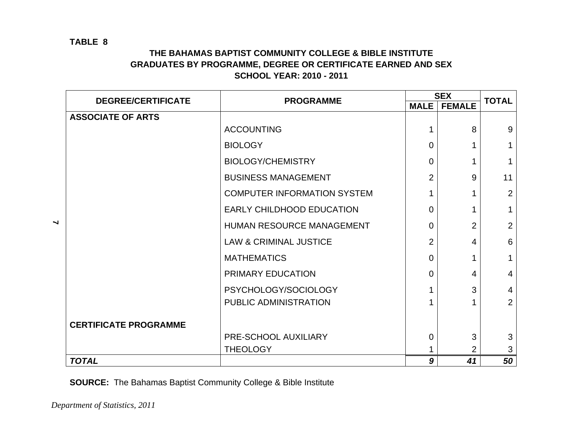## **THE BAHAMAS BAPTIST COMMUNITY COLLEGE & BIBLE INSTITUTE GRADUATES BY PROGRAMME, DEGREE OR CERTIFICATE EARNED AND SEX SCHOOL YEAR: 2010 - 2011**

|                          | <b>DEGREE/CERTIFICATE</b>    | <b>PROGRAMME</b>                   |                | <b>SEX</b>     | <b>TOTAL</b>   |
|--------------------------|------------------------------|------------------------------------|----------------|----------------|----------------|
|                          |                              |                                    | <b>MALE</b>    | <b>FEMALE</b>  |                |
|                          | <b>ASSOCIATE OF ARTS</b>     |                                    |                |                |                |
|                          |                              | <b>ACCOUNTING</b>                  | 1              | 8              | 9              |
|                          |                              | <b>BIOLOGY</b>                     | $\Omega$       |                | $\mathbf{1}$   |
|                          |                              | <b>BIOLOGY/CHEMISTRY</b>           | $\overline{0}$ | $\mathbf{1}$   | $\mathbf{1}$   |
|                          |                              | <b>BUSINESS MANAGEMENT</b>         | 2              | 9              | 11             |
|                          |                              | <b>COMPUTER INFORMATION SYSTEM</b> | 1              |                | $\overline{2}$ |
|                          |                              | <b>EARLY CHILDHOOD EDUCATION</b>   | $\Omega$       |                | $\mathbf{1}$   |
| $\overline{\phantom{0}}$ |                              | HUMAN RESOURCE MANAGEMENT          | $\Omega$       | $\overline{2}$ | 2              |
|                          |                              | <b>LAW &amp; CRIMINAL JUSTICE</b>  | $\overline{2}$ | 4              | 6              |
|                          |                              | <b>MATHEMATICS</b>                 | $\Omega$       | 1              | $\mathbf{1}$   |
|                          |                              | PRIMARY EDUCATION                  | $\Omega$       | 4              | $\overline{4}$ |
|                          |                              | PSYCHOLOGY/SOCIOLOGY               |                | 3              | $\overline{4}$ |
|                          |                              | PUBLIC ADMINISTRATION              |                |                | $\overline{2}$ |
|                          | <b>CERTIFICATE PROGRAMME</b> |                                    |                |                |                |
|                          |                              | PRE-SCHOOL AUXILIARY               | 0              | 3              | 3              |
|                          |                              | <b>THEOLOGY</b>                    |                | $\overline{2}$ | 3              |
|                          | <b>TOTAL</b>                 |                                    | 9              | 41             | 50             |

**SOURCE:** The Bahamas Baptist Community College & Bible Institute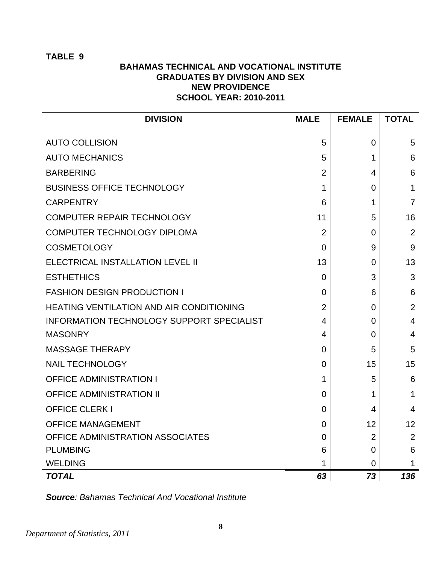#### **BAHAMAS TECHNICAL AND VOCATIONAL INSTITUTE GRADUATES BY DIVISION AND SEX NEW PROVIDENCE SCHOOL YEAR: 2010-2011**

| <b>DIVISION</b>                                  | <b>MALE</b>    | <b>FEMALE</b>  | <b>TOTAL</b>   |
|--------------------------------------------------|----------------|----------------|----------------|
| <b>AUTO COLLISION</b>                            | 5              | 0              | 5              |
| <b>AUTO MECHANICS</b>                            | 5              | 1              | 6              |
| <b>BARBERING</b>                                 | 2              | 4              | 6              |
| <b>BUSINESS OFFICE TECHNOLOGY</b>                | 1              | $\overline{0}$ | 1              |
| <b>CARPENTRY</b>                                 | 6              | 1              | $\overline{7}$ |
| <b>COMPUTER REPAIR TECHNOLOGY</b>                | 11             | 5              | 16             |
| COMPUTER TECHNOLOGY DIPLOMA                      | $\overline{2}$ | 0              | $\overline{2}$ |
| <b>COSMETOLOGY</b>                               | $\overline{0}$ | 9              | 9              |
| ELECTRICAL INSTALLATION LEVEL II                 | 13             | 0              | 13             |
| <b>ESTHETHICS</b>                                | $\overline{0}$ | 3              | 3              |
| <b>FASHION DESIGN PRODUCTION I</b>               | 0              | 6              | 6              |
| <b>HEATING VENTILATION AND AIR CONDITIONING</b>  | $\overline{2}$ | 0              | $\overline{2}$ |
| <b>INFORMATION TECHNOLOGY SUPPORT SPECIALIST</b> | 4              | 0              | 4              |
| <b>MASONRY</b>                                   | 4              | 0              | $\overline{4}$ |
| <b>MASSAGE THERAPY</b>                           | $\overline{0}$ | 5              | 5              |
| <b>NAIL TECHNOLOGY</b>                           | $\overline{0}$ | 15             | 15             |
| <b>OFFICE ADMINISTRATION I</b>                   | 1              | 5              | 6              |
| <b>OFFICE ADMINISTRATION II</b>                  | $\overline{0}$ | 1              | 1              |
| <b>OFFICE CLERK I</b>                            | $\overline{0}$ | 4              | $\overline{4}$ |
| <b>OFFICE MANAGEMENT</b>                         | $\overline{0}$ | 12             | 12             |
| OFFICE ADMINISTRATION ASSOCIATES                 | $\overline{0}$ | $\overline{2}$ | $\overline{2}$ |
| <b>PLUMBING</b>                                  | 6              | 0              | 6              |
| <b>WELDING</b>                                   | 1              | 0              | 1              |
| <b>TOTAL</b>                                     | 63             | 73             | 136            |

*Source: Bahamas Technical And Vocational Institute*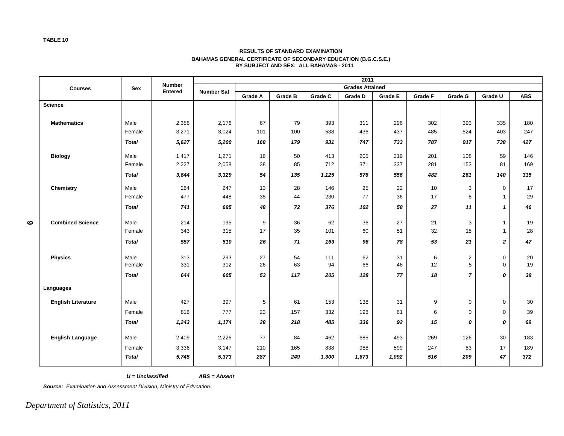#### **RESULTS OF STANDARD EXAMINATION BAHAMAS GENERAL CERTIFICATE OF SECONDARY EDUCATION (B.G.C.S.E.) BY SUBJECT AND SEX: ALL BAHAMAS - 2011**

|   |                           |              |                                 |                   |         |                |         | 2011                   |         |         |                |                |            |
|---|---------------------------|--------------|---------------------------------|-------------------|---------|----------------|---------|------------------------|---------|---------|----------------|----------------|------------|
|   | <b>Courses</b>            | Sex          | <b>Number</b><br><b>Entered</b> | <b>Number Sat</b> |         |                |         | <b>Grades Attained</b> |         |         |                |                |            |
|   |                           |              |                                 |                   | Grade A | <b>Grade B</b> | Grade C | <b>Grade D</b>         | Grade E | Grade F | Grade G        | Grade U        | <b>ABS</b> |
|   | <b>Science</b>            |              |                                 |                   |         |                |         |                        |         |         |                |                |            |
|   |                           |              |                                 |                   |         |                |         |                        |         |         |                |                |            |
|   | <b>Mathematics</b>        | Male         | 2,356                           | 2,176             | 67      | 79             | 393     | 311                    | 296     | 302     | 393            | 335            | 180        |
|   |                           | Female       | 3,271                           | 3,024             | 101     | 100            | 538     | 436                    | 437     | 485     | 524            | 403            | 247        |
|   |                           | <b>Total</b> | 5,627                           | 5,200             | 168     | 179            | 931     | 747                    | 733     | 787     | 917            | 738            | 427        |
|   | <b>Biology</b>            | Male         | 1,417                           | 1,271             | 16      | 50             | 413     | 205                    | 219     | 201     | 108            | 59             | 146        |
|   |                           | Female       | 2,227                           | 2,058             | 38      | 85             | 712     | 371                    | 337     | 281     | 153            | 81             | 169        |
|   |                           | <b>Total</b> | 3,644                           | 3,329             | 54      | 135            | 1,125   | 576                    | 556     | 482     | 261            | 140            | 315        |
|   | Chemistry                 | Male         | 264                             | 247               | 13      | 28             | 146     | 25                     | 22      | 10      | 3              | 0              | 17         |
|   |                           | Female       | 477                             | 448               | 35      | 44             | 230     | 77                     | 36      | 17      | 8              | $\overline{1}$ | 29         |
|   |                           | <b>Total</b> | 741                             | 695               | 48      | 72             | 376     | 102                    | 58      | 27      | 11             | $\mathbf{1}$   | 46         |
| ဖ | <b>Combined Science</b>   | Male         | 214                             | 195               | 9       | 36             | 62      | 36                     | 27      | 21      | 3              | $\mathbf{1}$   | 19         |
|   |                           | Female       | 343                             | 315               | 17      | 35             | 101     | 60                     | 51      | 32      | 18             | $\mathbf{1}$   | 28         |
|   |                           | <b>Total</b> | 557                             | 510               | 26      | 71             | 163     | 96                     | 78      | 53      | 21             | $\mathbf{2}$   | 47         |
|   | <b>Physics</b>            | Male         | 313                             | 293               | 27      | 54             | 111     | 62                     | 31      | 6       | $\overline{c}$ | $\mathbf 0$    | 20         |
|   |                           | Female       | 331                             | 312               | 26      | 63             | 94      | 66                     | 46      | 12      | 5              | $\mathbf 0$    | 19         |
|   |                           | <b>Total</b> | 644                             | 605               | 53      | 117            | 205     | 128                    | 77      | 18      | $\overline{7}$ | 0              | 39         |
|   | Languages                 |              |                                 |                   |         |                |         |                        |         |         |                |                |            |
|   | <b>English Literature</b> | Male         | 427                             | 397               | 5       | 61             | 153     | 138                    | 31      | 9       | 0              | $\mathbf 0$    | 30         |
|   |                           | Female       | 816                             | 777               | 23      | 157            | 332     | 198                    | 61      | 6       | 0              | $\mathbf 0$    | 39         |
|   |                           | <b>Total</b> | 1,243                           | 1,174             | 28      | 218            | 485     | 336                    | 92      | 15      | 0              | 0              | 69         |
|   | <b>English Language</b>   | Male         | 2,409                           | 2,226             | 77      | 84             | 462     | 685                    | 493     | 269     | 126            | 30             | 183        |
|   |                           | Female       | 3,336                           | 3,147             | 210     | 165            | 838     | 988                    | 599     | 247     | 83             | 17             | 189        |
|   |                           | <b>Total</b> | 5,745                           | 5,373             | 287     | 249            | 1,300   | 1,673                  | 1,092   | 516     | 209            | 47             | 372        |

 $U =$  Unclassified

ABS = Absent

*Source: Examination and Assessment Division, Ministry of Education.*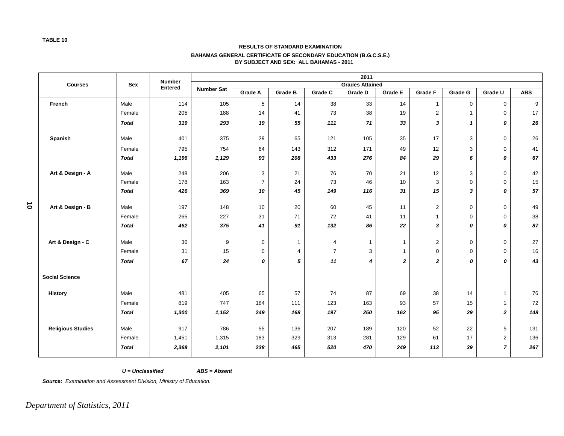#### **RESULTS OF STANDARD EXAMINATION**

#### **BAHAMAS GENERAL CERTIFICATE OF SECONDARY EDUCATION (B.G.C.S.E.) BY SUBJECT AND SEX: ALL BAHAMAS - 2011**

|           |                          |              | <b>Number</b>  |                   | 2011           |                |                |                        |                |                |                  |                |            |
|-----------|--------------------------|--------------|----------------|-------------------|----------------|----------------|----------------|------------------------|----------------|----------------|------------------|----------------|------------|
|           | <b>Courses</b>           | Sex          | <b>Entered</b> | <b>Number Sat</b> |                |                |                | <b>Grades Attained</b> |                |                |                  |                |            |
|           |                          |              |                |                   | <b>Grade A</b> | <b>Grade B</b> | Grade C        | Grade D                | <b>Grade E</b> | <b>Grade F</b> | Grade G          | Grade U        | <b>ABS</b> |
|           | French                   | Male         | 114            | 105               | 5              | 14             | 38             | 33                     | 14             | $\mathbf{1}$   | $\mathbf 0$      | $\mathbf 0$    | 9          |
|           |                          | Female       | 205            | 188               | 14             | 41             | 73             | 38                     | 19             | $\overline{c}$ | $\mathbf{1}$     | 0              | 17         |
|           |                          | <b>Total</b> | 319            | 293               | 19             | 55             | 111            | 71                     | 33             | 3              | $\mathbf{1}$     | 0              | 26         |
|           | Spanish                  | Male         | 401            | 375               | 29             | 65             | 121            | 105                    | 35             | 17             | 3                | 0              | 26         |
|           |                          | Female       | 795            | 754               | 64             | 143            | 312            | 171                    | 49             | 12             | $\mathbf{3}$     | 0              | 41         |
|           |                          | <b>Total</b> | 1,196          | 1,129             | 93             | 208            | 433            | 276                    | 84             | 29             | 6                | 0              | 67         |
|           | Art & Design - A         | Male         | 248            | 206               | 3              | 21             | 76             | 70                     | 21             | 12             | 3                | 0              | 42         |
|           |                          | Female       | 178            | 163               | $\overline{7}$ | 24             | 73             | 46                     | 10             | 3              | $\boldsymbol{0}$ | 0              | 15         |
|           |                          | <b>Total</b> | 426            | 369               | 10             | 45             | 149            | 116                    | 31             | 15             | 3                | 0              | 57         |
| $\vec{0}$ | Art & Design - B         | Male         | 197            | 148               | 10             | 20             | 60             | 45                     | 11             | $\overline{c}$ | $\mathbf 0$      | 0              | 49         |
|           |                          | Female       | 265            | 227               | 31             | 71             | 72             | 41                     | 11             | $\mathbf{1}$   | $\mathbf 0$      | 0              | 38         |
|           |                          | <b>Total</b> | 462            | 375               | 41             | 91             | 132            | 86                     | 22             | 3              | 0                | 0              | 87         |
|           | Art & Design - C         | Male         | 36             | 9                 | $\mathbf 0$    | $\mathbf{1}$   | 4              | $\mathbf{1}$           | $\overline{1}$ | $\overline{c}$ | $\boldsymbol{0}$ | 0              | 27         |
|           |                          | Female       | 31             | 15                | $\mathbf 0$    | $\overline{4}$ | $\overline{7}$ | 3                      | $\mathbf{1}$   | $\mathbf 0$    | $\mathbf 0$      | 0              | 16         |
|           |                          | <b>Total</b> | 67             | 24                | 0              | 5              | 11             | $\boldsymbol{4}$       | $\mathbf{2}$   | $\mathbf 2$    | 0                | 0              | 43         |
|           | <b>Social Science</b>    |              |                |                   |                |                |                |                        |                |                |                  |                |            |
|           | <b>History</b>           | Male         | 481            | 405               | 65             | 57             | 74             | 87                     | 69             | 38             | 14               | $\mathbf{1}$   | 76         |
|           |                          | Female       | 819            | 747               | 184            | 111            | 123            | 163                    | 93             | 57             | 15               | $\mathbf{1}$   | 72         |
|           |                          | <b>Total</b> | 1,300          | 1,152             | 249            | 168            | 197            | 250                    | 162            | 95             | 29               | $\mathbf{z}$   | 148        |
|           | <b>Religious Studies</b> | Male         | 917            | 786               | 55             | 136            | 207            | 189                    | 120            | 52             | 22               | 5              | 131        |
|           |                          | Female       | 1,451          | 1,315             | 183            | 329            | 313            | 281                    | 129            | 61             | 17               | $\overline{2}$ | 136        |
|           |                          | <b>Total</b> | 2,368          | 2,101             | 238            | 465            | 520            | 470                    | 249            | 113            | 39               | $\overline{7}$ | 267        |

 $U =$  Unclassified

 $ABS = Absent$ 

*Source: Examination and Assessment Division, Ministry of Education.*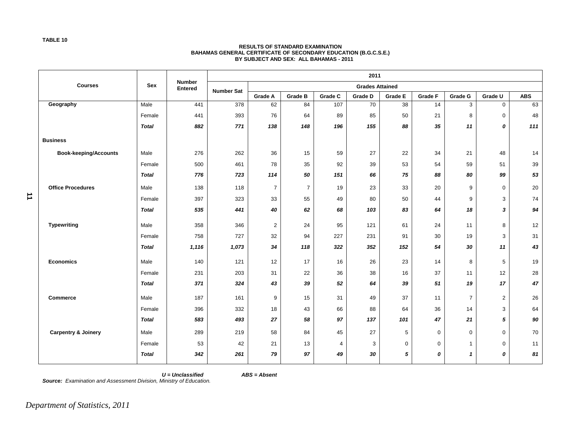#### **RESULTS OF STANDARD EXAMINATION BAHAMAS GENERAL CERTIFICATE OF SECONDARY EDUCATION (B.G.C.S.E.) BY SUBJECT AND SEX: ALL BAHAMAS - 2011**

|   |                                |              |                                 |                   | 2011           |                |         |                        |                |                |                |             |            |
|---|--------------------------------|--------------|---------------------------------|-------------------|----------------|----------------|---------|------------------------|----------------|----------------|----------------|-------------|------------|
|   | <b>Courses</b>                 | <b>Sex</b>   | <b>Number</b><br><b>Entered</b> | <b>Number Sat</b> |                |                |         | <b>Grades Attained</b> |                |                |                |             |            |
|   |                                |              |                                 |                   | <b>Grade A</b> | <b>Grade B</b> | Grade C | Grade D                | <b>Grade E</b> | <b>Grade F</b> | Grade G        | Grade U     | <b>ABS</b> |
|   | Geography                      | Male         | 441                             | 378               | 62             | 84             | 107     | 70                     | 38             | 14             | 3              | $\mathbf 0$ | 63         |
|   |                                | Female       | 441                             | 393               | 76             | 64             | 89      | 85                     | 50             | 21             | 8              | $\mathbf 0$ | 48         |
|   |                                | <b>Total</b> | 882                             | 771               | 138            | 148            | 196     | 155                    | 88             | 35             | 11             | 0           | 111        |
|   | <b>Business</b>                |              |                                 |                   |                |                |         |                        |                |                |                |             |            |
|   | <b>Book-keeping/Accounts</b>   | Male         | 276                             | 262               | 36             | 15             | 59      | 27                     | 22             | 34             | 21             | 48          | 14         |
|   |                                | Female       | 500                             | 461               | 78             | 35             | 92      | 39                     | 53             | 54             | 59             | 51          | 39         |
|   |                                | <b>Total</b> | 776                             | 723               | 114            | 50             | 151     | 66                     | 75             | 88             | 80             | 99          | 53         |
|   | <b>Office Procedures</b>       | Male         | 138                             | 118               | $\overline{7}$ | $\overline{7}$ | 19      | 23                     | 33             | 20             | 9              | $\mathbf 0$ | 20         |
| 그 |                                | Female       | 397                             | 323               | 33             | 55             | 49      | 80                     | 50             | 44             | 9              | 3           | 74         |
|   |                                | <b>Total</b> | 535                             | 441               | 40             | 62             | 68      | 103                    | 83             | 64             | 18             | 3           | 94         |
|   | <b>Typewriting</b>             | Male         | 358                             | 346               | $\overline{2}$ | 24             | 95      | 121                    | 61             | 24             | 11             | 8           | 12         |
|   |                                | Female       | 758                             | 727               | 32             | 94             | 227     | 231                    | 91             | 30             | 19             | 3           | 31         |
|   |                                | <b>Total</b> | 1,116                           | 1,073             | 34             | 118            | 322     | 352                    | 152            | 54             | 30             | 11          | 43         |
|   | <b>Economics</b>               | Male         | 140                             | 121               | 12             | 17             | 16      | 26                     | 23             | 14             | 8              | 5           | 19         |
|   |                                | Female       | 231                             | 203               | 31             | 22             | 36      | 38                     | 16             | 37             | 11             | 12          | 28         |
|   |                                | <b>Total</b> | 371                             | 324               | 43             | 39             | 52      | 64                     | 39             | 51             | 19             | 17          | 47         |
|   | <b>Commerce</b>                | Male         | 187                             | 161               | 9              | 15             | 31      | 49                     | 37             | 11             | $\overline{7}$ | $\mathbf 2$ | 26         |
|   |                                | Female       | 396                             | 332               | 18             | 43             | 66      | 88                     | 64             | 36             | 14             | 3           | 64         |
|   |                                | <b>Total</b> | 583                             | 493               | 27             | 58             | 97      | 137                    | 101            | 47             | 21             | 5           | 90         |
|   | <b>Carpentry &amp; Joinery</b> | Male         | 289                             | 219               | 58             | 84             | 45      | 27                     | 5              | $\mathbf 0$    | 0              | $\mathbf 0$ | 70         |
|   |                                | Female       | 53                              | 42                | 21             | 13             | 4       | 3                      | $\mathbf 0$    | $\mathbf 0$    | $\mathbf{1}$   | $\mathbf 0$ | 11         |
|   |                                | <b>Total</b> | 342                             | 261               | 79             | 97             | 49      | 30                     | 5              | 0              | $\mathbf{1}$   | 0           | 81         |

 $U =$  Unclassified

ABS = Absent

*Source: Examination and Assessment Division, Ministry of Education.*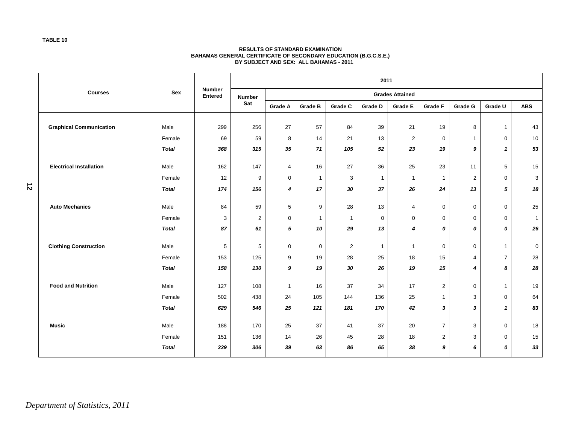#### **RESULTS OF STANDARD EXAMINATION BAHAMAS GENERAL CERTIFICATE OF SECONDARY EDUCATION (B.G.C.S.E.) BY SUBJECT AND SEX: ALL BAHAMAS - 2011**

|   |                                                       |              | <b>Number</b><br><b>Entered</b> | 2011          |                        |                  |                |              |                  |                |                |                |                |  |
|---|-------------------------------------------------------|--------------|---------------------------------|---------------|------------------------|------------------|----------------|--------------|------------------|----------------|----------------|----------------|----------------|--|
|   | <b>Courses</b>                                        | Sex          |                                 | <b>Number</b> | <b>Grades Attained</b> |                  |                |              |                  |                |                |                |                |  |
|   |                                                       |              |                                 | Sat           | <b>Grade A</b>         | Grade B          | Grade C        | Grade D      | <b>Grade E</b>   | <b>Grade F</b> | Grade G        | Grade U        | <b>ABS</b>     |  |
|   |                                                       |              |                                 |               |                        |                  |                |              |                  |                |                |                |                |  |
|   | <b>Graphical Communication</b>                        | Male         | 299                             | 256           | 27                     | 57               | 84             | 39           | 21               | 19             | 8              | $\mathbf{1}$   | 43             |  |
|   |                                                       | Female       | 69                              | 59            | 8                      | 14               | 21             | 13           | $\overline{2}$   | $\mathbf 0$    | $\overline{1}$ | $\mathbf 0$    | 10             |  |
|   |                                                       | <b>Total</b> | 368                             | 315           | 35                     | 71               | 105            | 52           | 23               | 19             | 9              | $\mathbf{1}$   | 53             |  |
|   | <b>Electrical Installation</b>                        | Male         | 162                             | 147           | 4                      | 16               | 27             | 36           | 25               | 23             | 11             | 5              | 15             |  |
|   |                                                       | Female       | 12                              | 9             | 0                      | $\mathbf{1}$     | $\sqrt{3}$     | $\mathbf{1}$ | $\mathbf{1}$     | $\overline{1}$ | $\overline{2}$ | $\mathbf 0$    | 3              |  |
| 5 |                                                       | <b>Total</b> | 174                             | 156           | 4                      | 17               | 30             | 37           | 26               | 24             | 13             | 5              | 18             |  |
|   | <b>Auto Mechanics</b><br><b>Clothing Construction</b> | Male         | 84                              | 59            | 5                      | $\boldsymbol{9}$ | 28             | 13           | $\overline{4}$   | 0              | $\mathbf 0$    | $\overline{0}$ | 25             |  |
|   |                                                       | Female       | 3                               | 2             | $\mathbf 0$            | $\mathbf{1}$     | $\mathbf{1}$   | $\mathbf 0$  | $\boldsymbol{0}$ | $\mathbf 0$    | $\mathbf 0$    | $\mathbf 0$    | $\overline{1}$ |  |
|   |                                                       | <b>Total</b> | 87                              | 61            | 5                      | 10               | 29             | 13           | 4                | 0              | 0              | 0              | 26             |  |
|   |                                                       | Male         | $\sqrt{5}$                      | 5             | 0                      | $\mathbf 0$      | $\overline{2}$ | $\mathbf{1}$ | $\mathbf{1}$     | 0              | $\mathbf 0$    | $\mathbf{1}$   | $\mathbf 0$    |  |
|   |                                                       | Female       | 153                             | 125           | 9                      | 19               | 28             | 25           | 18               | 15             | $\overline{4}$ | $\overline{7}$ | 28             |  |
|   |                                                       | <b>Total</b> | 158                             | 130           | 9                      | 19               | 30             | 26           | 19               | 15             | 4              | 8              | 28             |  |
|   | <b>Food and Nutrition</b>                             | Male         | 127                             | 108           | $\mathbf{1}$           | 16               | 37             | 34           | 17               | $\overline{c}$ | $\mathbf 0$    | $\mathbf{1}$   | 19             |  |
|   |                                                       | Female       | 502                             | 438           | 24                     | 105              | 144            | 136          | 25               | $\mathbf{1}$   | 3              | $\mathbf 0$    | 64             |  |
|   |                                                       | <b>Total</b> | 629                             | 546           | 25                     | 121              | 181            | 170          | 42               | 3              | 3              | $\mathbf{1}$   | 83             |  |
|   |                                                       |              |                                 |               |                        |                  |                |              |                  |                |                |                |                |  |
|   | <b>Music</b>                                          | Male         | 188                             | 170           | 25                     | 37               | 41             | 37           | 20               | $\overline{7}$ | 3              | $\mathbf 0$    | 18             |  |
|   |                                                       | Female       | 151                             | 136           | 14                     | 26               | 45             | 28           | 18               | 2              | 3              | $\mathbf 0$    | 15             |  |
|   |                                                       | <b>Total</b> | 339                             | 306           | 39                     | 63               | 86             | 65           | 38               | 9              | 6              | 0              | 33             |  |

**TABLE 10**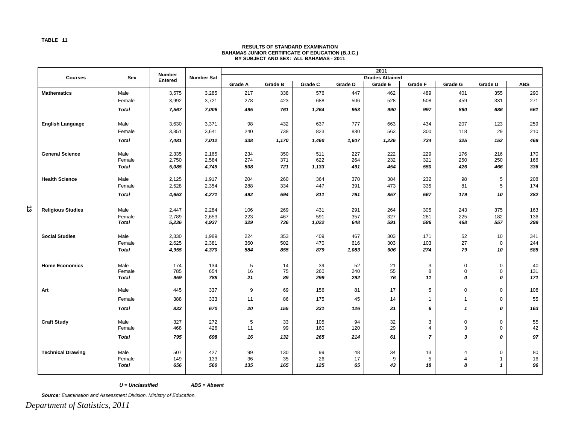## **RESULTS OF STANDARD EXAMINATION BAHAMAS JUNIOR CERTIFICATE OF EDUCATION (B.J.C.) BY SUBJECT AND SEX: ALL BAHAMAS - 2011**

|                |                          |              | <b>Number</b> |                   | 2011                   |                |         |         |         |                |              |                |            |  |  |
|----------------|--------------------------|--------------|---------------|-------------------|------------------------|----------------|---------|---------|---------|----------------|--------------|----------------|------------|--|--|
|                | <b>Courses</b>           | <b>Sex</b>   | Entered       | <b>Number Sat</b> | <b>Grades Attained</b> |                |         |         |         |                |              |                |            |  |  |
|                |                          |              |               |                   | Grade A                | <b>Grade B</b> | Grade C | Grade D | Grade E | Grade F        | Grade G      | Grade U        | <b>ABS</b> |  |  |
|                | <b>Mathematics</b>       | Male         | 3,575         | 3,285             | 217                    | 338            | 576     | 447     | 462     | 489            | 401          | 355            | 290        |  |  |
|                |                          | Female       | 3,992         | 3,721             | 278                    | 423            | 688     | 506     | 528     | 508            | 459          | 331            | 271        |  |  |
|                |                          | <b>Total</b> | 7,567         | 7,006             | 495                    | 761            | 1,264   | 953     | 990     | 997            | 860          | 686            | 561        |  |  |
|                | <b>English Language</b>  | Male         | 3,630         | 3,371             | 98                     | 432            | 637     | 777     | 663     | 434            | 207          | 123            | 259        |  |  |
|                |                          | Female       | 3,851         | 3,641             | 240                    | 738            | 823     | 830     | 563     | 300            | 118          | 29             | 210        |  |  |
|                |                          | <b>Total</b> | 7,481         | 7,012             | 338                    | 1,170          | 1,460   | 1,607   | 1,226   | 734            | 325          | 152            | 469        |  |  |
|                | <b>General Science</b>   | Male         | 2,335         | 2,165             | 234                    | 350            | 511     | 227     | 222     | 229            | 176          | 216            | 170        |  |  |
|                |                          | Female       | 2,750         | 2,584             | 274                    | 371            | 622     | 264     | 232     | 321            | 250          | 250            | 166        |  |  |
|                |                          | <b>Total</b> | 5,085         | 4,749             | 508                    | 721            | 1,133   | 491     | 454     | 550            | 426          | 466            | 336        |  |  |
|                | <b>Health Science</b>    | Male         | 2,125         | 1,917             | 204                    | 260            | 364     | 370     | 384     | 232            | 98           | 5              | 208        |  |  |
|                |                          | Female       | 2,528         | 2,354             | 288                    | 334            | 447     | 391     | 473     | 335            | 81           | 5              | 174        |  |  |
|                |                          | <b>Total</b> | 4,653         | 4,271             | 492                    | 594            | 811     | 761     | 857     | 567            | 179          | 10             | 382        |  |  |
| $\vec{\omega}$ | <b>Religious Studies</b> | Male         | 2,447         | 2,284             | 106                    | 269            | 431     | 291     | 264     | 305            | 243          | 375            | 163        |  |  |
|                |                          | Female       | 2,789         | 2,653             | 223                    | 467            | 591     | 357     | 327     | 281            | 225          | 182            | 136        |  |  |
|                |                          | <b>Total</b> | 5,236         | 4,937             | 329                    | 736            | 1,022   | 648     | 591     | 586            | 468          | 557            | 299        |  |  |
|                | <b>Social Studies</b>    | Male         | 2,330         | 1,989             | 224                    | 353            | 409     | 467     | 303     | 171            | 52           | 10             | 341        |  |  |
|                |                          | Female       | 2,625         | 2,381             | 360                    | 502            | 470     | 616     | 303     | 103            | 27           | $\mathbf 0$    | 244        |  |  |
|                |                          | <b>Total</b> | 4,955         | 4,370             | 584                    | 855            | 879     | 1,083   | 606     | 274            | 79           | 10             | 585        |  |  |
|                | <b>Home Economics</b>    | Male         | 174           | 134               | 5                      | 14             | 39      | 52      | 21      | 3              | 0            | $\mathbf 0$    | 40         |  |  |
|                |                          | Female       | 785           | 654               | 16                     | 75             | 260     | 240     | 55      | 8              | 0            | $\mathbf 0$    | 131        |  |  |
|                |                          | <b>Total</b> | 959           | 788               | 21                     | 89             | 299     | 292     | 76      | 11             | 0            | 0              | 171        |  |  |
|                | Art                      | Male         | 445           | 337               | 9                      | 69             | 156     | 81      | 17      | 5              | 0            | $\mathbf 0$    | 108        |  |  |
|                |                          | Female       | 388           | 333               | 11                     | 86             | 175     | 45      | 14      | $\mathbf{1}$   | 1            | $\mathbf 0$    | 55         |  |  |
|                |                          | Total        | 833           | 670               | 20                     | 155            | 331     | 126     | 31      | 6              | $\mathbf{1}$ | 0              | 163        |  |  |
|                | <b>Craft Study</b>       | Male         | 327           | 272               | 5                      | 33             | 105     | 94      | 32      | 3              | 0            | $\mathbf 0$    | 55         |  |  |
|                |                          | Female       | 468           | 426               | 11                     | 99             | 160     | 120     | 29      | 4              | 3            | $\mathbf 0$    | 42         |  |  |
|                |                          | <b>Total</b> | 795           | 698               | 16                     | 132            | 265     | 214     | 61      | $\overline{7}$ | 3            | 0              | 97         |  |  |
|                | <b>Technical Drawing</b> | Male         | 507           | 427               | 99                     | 130            | 99      | 48      | 34      | 13             | 4            | 0              | 80         |  |  |
|                |                          | Female       | 149           | 133               | 36                     | 35             | 26      | 17      | 9       | 5              | 4            | $\overline{1}$ | $16\,$     |  |  |
|                |                          | <b>Total</b> | 656           | 560               | 135                    | 165            | 125     | 65      | 43      | 18             | 8            | $\mathbf{1}$   | 96         |  |  |
|                |                          |              |               |                   |                        |                |         |         |         |                |              |                |            |  |  |

 $U =$  Unclassified

 $ABS = Absent$ 

*Source: Examination and Assessment Division, Ministry of Education.*